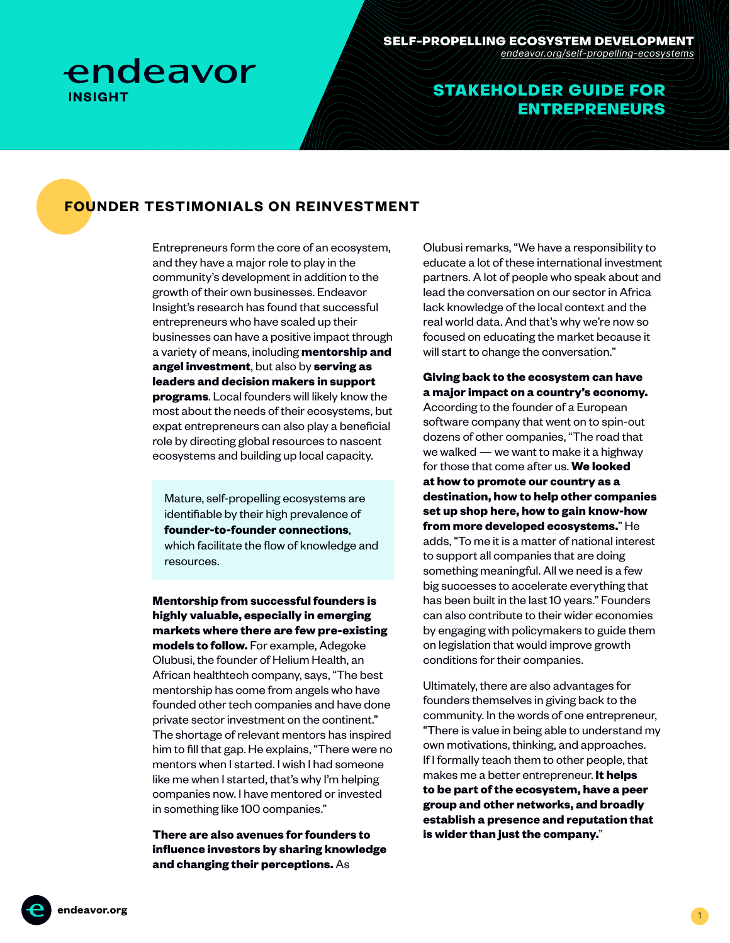

## STAKEHOLDER GUIDE FOR ENTREPRENEURS

#### **FOUNDER TESTIMONIALS ON REINVESTMENT**

Entrepreneurs form the core of an ecosystem, and they have a major role to play in the community's development in addition to the growth of their own businesses. Endeavor Insight's research has found that successful entrepreneurs who have scaled up their businesses can have a positive impact through a variety of means, including **mentorship and angel investment**, but also by **serving as leaders and decision makers in support programs**. Local founders will likely know the most about the needs of their ecosystems, but expat entrepreneurs can also play a beneficial role by directing global resources to nascent ecosystems and building up local capacity.

Mature, self-propelling ecosystems are identifiable by their high prevalence of **founder-to-founder connections**, which facilitate the flow of knowledge and resources.

**Mentorship from successful founders is highly valuable, especially in emerging markets where there are few pre-existing models to follow.** For example, Adegoke

Olubusi, the founder of Helium Health, an African healthtech company, says, "The best mentorship has come from angels who have founded other tech companies and have done private sector investment on the continent." The shortage of relevant mentors has inspired him to fill that gap. He explains, "There were no mentors when I started. I wish I had someone like me when I started, that's why I'm helping companies now. I have mentored or invested in something like 100 companies."

**There are also avenues for founders to influence investors by sharing knowledge and changing their perceptions.** As

Olubusi remarks, "We have a responsibility to educate a lot of these international investment partners. A lot of people who speak about and lead the conversation on our sector in Africa lack knowledge of the local context and the real world data. And that's why we're now so focused on educating the market because it will start to change the conversation."

**Giving back to the ecosystem can have a major impact on a country's economy.** According to the founder of a European software company that went on to spin-out dozens of other companies, "The road that we walked — we want to make it a highway for those that come after us. **We looked at how to promote our country as a destination, how to help other companies set up shop here, how to gain know-how from more developed ecosystems.**" He adds, "To me it is a matter of national interest to support all companies that are doing something meaningful. All we need is a few big successes to accelerate everything that has been built in the last 10 years." Founders can also contribute to their wider economies by engaging with policymakers to guide them on legislation that would improve growth conditions for their companies.

Ultimately, there are also advantages for founders themselves in giving back to the community. In the words of one entrepreneur, "There is value in being able to understand my own motivations, thinking, and approaches. If I formally teach them to other people, that makes me a better entrepreneur. **It helps to be part of the ecosystem, have a peer group and other networks, and broadly establish a presence and reputation that is wider than just the company.**"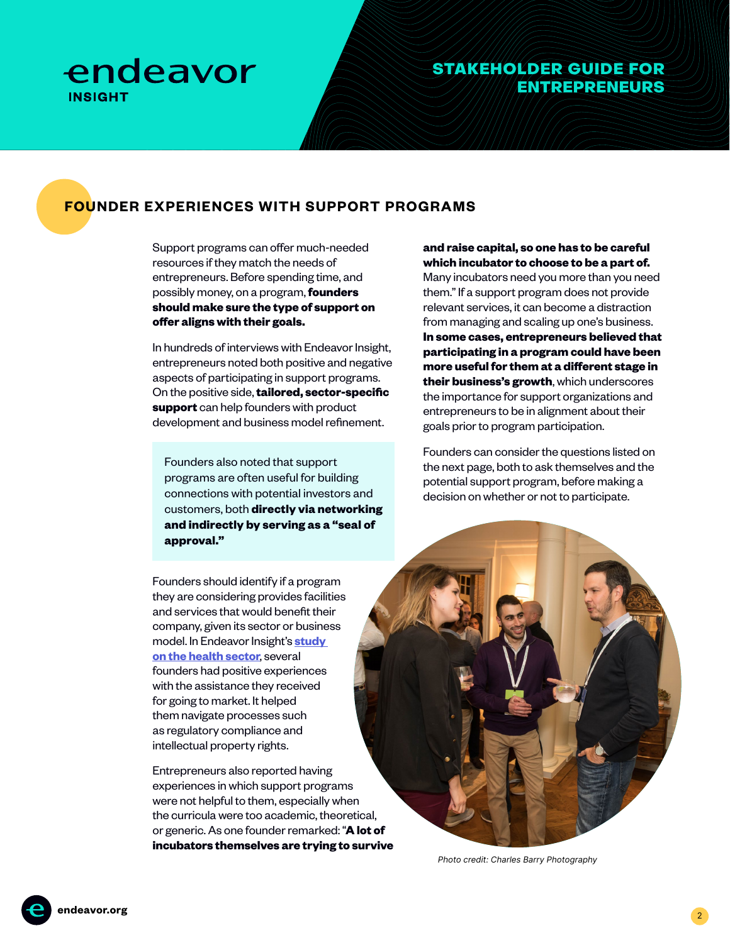

### STAKEHOLDER GUIDE FOR ENTREPRENEURS

## **FOUNDER EXPERIENCES WITH SUPPORT PROGRAMS**

Support programs can offer much-needed resources if they match the needs of entrepreneurs. Before spending time, and possibly money, on a program, **founders should make sure the type of support on offer aligns with their goals.**

In hundreds of interviews with Endeavor Insight, entrepreneurs noted both positive and negative aspects of participating in support programs. On the positive side, **tailored, sector-specific support** can help founders with product development and business model refinement.

Founders also noted that support programs are often useful for building connections with potential investors and customers, both **directly via networking and indirectly by serving as a "seal of approval."**

Founders should identify if a program they are considering provides facilities and services that would benefit their company, given its sector or business model. In Endeavor Insight's **[study](https://endeavor.org/entrep-in-healthcare)  [on the health sector](https://endeavor.org/entrep-in-healthcare)**, several founders had positive experiences with the assistance they received for going to market. It helped them navigate processes such as regulatory compliance and intellectual property rights.

Entrepreneurs also reported having experiences in which support programs were not helpful to them, especially when the curricula were too academic, theoretical, or generic. As one founder remarked: "**A lot of incubators themselves are trying to survive**  **and raise capital, so one has to be careful which incubator to choose to be a part of.**  Many incubators need you more than you need them." If a support program does not provide relevant services, it can become a distraction from managing and scaling up one's business. **In some cases, entrepreneurs believed that participating in a program could have been more useful for them at a different stage in their business's growth**, which underscores the importance for support organizations and entrepreneurs to be in alignment about their goals prior to program participation.

Founders can consider the questions listed on the next page, both to ask themselves and the potential support program, before making a decision on whether or not to participate.



Photo credit: Charles Barry Photography